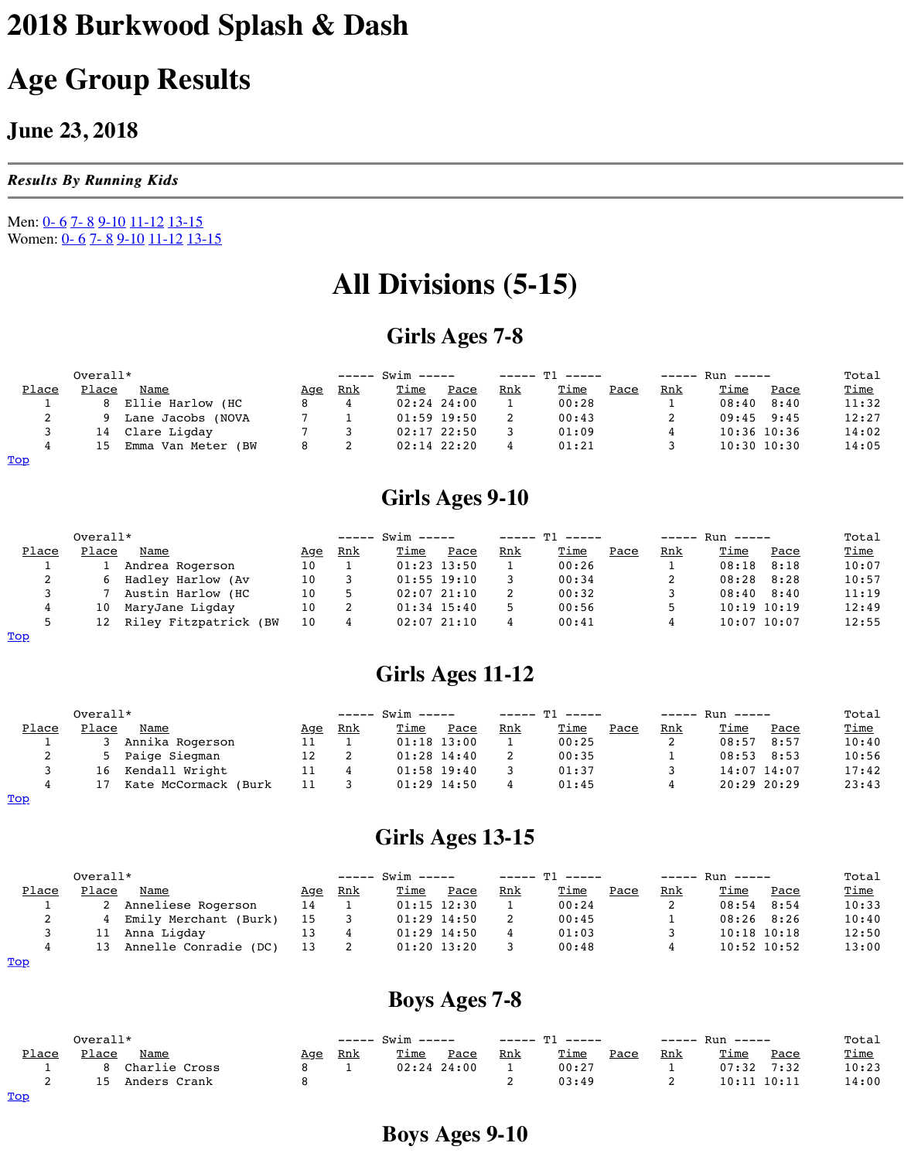| . . |         | TNOVA.<br>Lane Jacobs |  | $01:59$ 19:50   | - | 00: |
|-----|---------|-----------------------|--|-----------------|---|-----|
|     | 14      | Clare Ligday          |  | $02:17$ $22:50$ |   | 01  |
|     | $\pm 5$ | Emma Van Meter (BW    |  | $02:14$ 22:20   |   | 01  |
| Top |         |                       |  |                 |   |     |

## **Girls Ages 9-10**

|               | $Overall*$ |                       |     | $--- 5win ---$ | $---T1 -$     |                 |     |                 |
|---------------|------------|-----------------------|-----|----------------|---------------|-----------------|-----|-----------------|
| Place         | Place      | Name                  | Age | <u>Rnk</u>     | <u>Time</u>   | Pace            | Rnk | <u>Tin</u>      |
| <u>. на п</u> |            | Andrea Rogerson       | 10  |                | $01:23$ 13:50 |                 |     | 00 <sub>1</sub> |
| ∠             |            | Hadley Harlow (Av     | 10  |                |               | $01:55$ 19:10   |     | 00 <sub>1</sub> |
|               |            | Austin Harlow (HC     | 10  |                |               | $02:07$ $21:10$ |     | 00 <sub>1</sub> |
|               | 10         | MaryJane Ligday       | 10  |                |               | $01:34$ 15:40   |     | 00 <sub>1</sub> |
|               | 12         | Riley Fitzpatrick (BW | 10  |                |               | $02:07$ $21:10$ |     | 00 <sub>1</sub> |
| Top           |            |                       |     |                |               |                 |     |                 |

# **Girls Ages 11-12**

|       | $Overall*$ |                      |            |            | $--- 5win ---$ |                 |            |                 |  |
|-------|------------|----------------------|------------|------------|----------------|-----------------|------------|-----------------|--|
| Place | Place      | Name                 | <u>Age</u> | <u>Rnk</u> | <u>Time</u>    | Pace            | <u>Rnk</u> | <u>Tin</u>      |  |
|       |            | Annika Rogerson      |            |            |                | $01:18$ 13:00   |            | 00 <sub>1</sub> |  |
| ∼     |            | 5 Paige Siegman      | 12         |            |                | $01:28$ $14:40$ |            | 00 <sub>1</sub> |  |
|       | 16         | Kendall Wright       |            |            |                | $01:58$ 19:40   |            |                 |  |
|       |            | Kate McCormack (Burk |            |            |                | $01:29$ $14:50$ |            |                 |  |

#### Top

## **Girls Ages 13-15**

|       | $Overall*$ |                         |            | $--- 5win ---$ | $---T1 -1$ |                 |            |                 |
|-------|------------|-------------------------|------------|----------------|------------|-----------------|------------|-----------------|
| Place | Place      | Name                    | <u>Age</u> | <u>Rnk</u>     | Time       | Pace            | <u>Rnk</u> | <u>Tin</u>      |
|       |            | Anneliese Rogerson      | 14         |                |            | $01:15$ $12:30$ |            | 00 <sub>1</sub> |
| ▵     |            | 4 Emily Merchant (Burk) | 15         |                |            | $01:29$ $14:50$ |            | 00 <sub>1</sub> |
|       |            | 11 Anna Ligday          |            |                |            | $01:29$ $14:50$ |            |                 |
|       | 13.        | Annelle Conradie (DC)   | 13         |                |            | $01:20$ $13:20$ |            | 00 <sub>1</sub> |
|       |            |                         |            |                |            |                 |            |                 |

#### Top

### **Boys Ages 7-8**

<span id="page-0-1"></span><span id="page-0-0"></span>

|                          | $Overall*$ |               |            |            | ----- Swim ----- |               |            | $---T1 - -$ |
|--------------------------|------------|---------------|------------|------------|------------------|---------------|------------|-------------|
| Place                    | Place      | <b>Name</b>   | <u>Age</u> | <u>Rnk</u> | Time             | Pace          | <u>Rnk</u> | <u>Tin</u>  |
| <u>. на стр</u>          | R.         | Charlie Cross |            |            |                  | $02:24$ 24:00 |            | 00:         |
| ∼                        | 1 5        | Anders Crank  |            |            |                  |               |            | 03:         |
| $\underline{\text{Top}}$ |            |               |            |            |                  |               |            |             |

**Boys Ages 9-10**